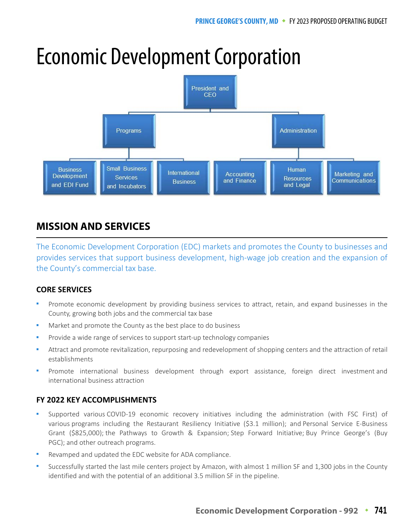# Economic Development Corporation



# **MISSION AND SERVICES**

The Economic Development Corporation (EDC) markets and promotes the County to businesses and provides services that support business development, high-wage job creation and the expansion of the County's commercial tax base.

## **CORE SERVICES**

- Promote economic development by providing business services to attract, retain, and expand businesses in the County, growing both jobs and the commercial tax base
- Market and promote the County as the best place to do business
- Provide a wide range of services to support start-up technology companies
- Attract and promote revitalization, repurposing and redevelopment of shopping centers and the attraction of retail establishments
- Promote international business development through export assistance, foreign direct investment and international business attraction

## **FY 2022 KEY ACCOMPLISHMENTS**

- Supported various COVID-19 economic recovery initiatives including the administration (with FSC First) of various programs including the Restaurant Resiliency Initiative (\$3.1 million); and Personal Service E-Business Grant (\$825,000); the Pathways to Growth & Expansion; Step Forward Initiative; Buy Prince George's (Buy PGC); and other outreach programs.
- Revamped and updated the EDC website for ADA compliance.
- Successfully started the last mile centers project by Amazon, with almost 1 million SF and 1,300 jobs in the County identified and with the potential of an additional 3.5 million SF in the pipeline.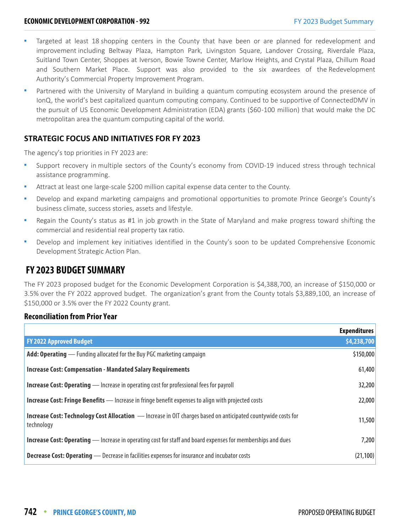- Targeted at least 18 shopping centers in the County that have been or are planned for redevelopment and improvement including Beltway Plaza, Hampton Park, Livingston Square, Landover Crossing, Riverdale Plaza, Suitland Town Center, Shoppes at Iverson, Bowie Towne Center, Marlow Heights, and Crystal Plaza, Chillum Road and Southern Market Place. Support was also provided to the six awardees of the Redevelopment Authority's Commercial Property Improvement Program.
- Partnered with the University of Maryland in building a quantum computing ecosystem around the presence of IonQ, the world's best capitalized quantum computing company. Continued to be supportive of ConnectedDMV in the pursuit of US Economic Development Administration (EDA) grants (\$60 -100 million) that would make the DC metropolitan area the quantum computing capital of the world.

#### **STRATEGIC FOCUS AND INITIATIVES FOR FY 2023**

The agency's top priorities in FY 2023 are:

- Support recovery in multiple sectors of the County's economy from COVID-19 induced stress through technical assistance programming.
- Attract at least one large-scale \$200 million capital expense data center to the County.
- Develop and expand marketing campaigns and promotional opportunities to promote Prince George's County's business climate, success stories, assets and lifestyle.
- Regain the County's status as #1 in job growth in the State of Maryland and make progress toward shifting the commercial and residential real property tax ratio.
- **•** Develop and implement key initiatives identified in the County's soon to be updated Comprehensive Economic Development Strategic Action Plan.

## **FY 2023 BUDGET SUMMARY**

The FY 2023 proposed budget for the Economic Development Corporation is \$4,388,700, an increase of \$150,000 or 3.5% over the FY 2022 approved budget. The organization's grant from the County totals \$3,889,100, an increase of \$150,000 or 3.5% over the FY 2022 County grant.

#### **Reconciliation from Prior Year**

|                                                                                                                                    | <b>Expenditures</b> |
|------------------------------------------------------------------------------------------------------------------------------------|---------------------|
| <b>FY 2022 Approved Budget</b>                                                                                                     | \$4,238,700         |
| <b>Add: Operating</b> — Funding allocated for the Buy PGC marketing campaign                                                       | \$150,000           |
| <b>Increase Cost: Compensation - Mandated Salary Requirements</b>                                                                  | 61,400              |
| <b>Increase Cost: Operating</b> — Increase in operating cost for professional fees for payroll                                     | 32,200              |
| <b>Increase Cost: Fringe Benefits</b> - Increase in fringe benefit expenses to align with projected costs                          | 22,000              |
| <b>Increase Cost: Technology Cost Allocation</b> - Increase in OIT charges based on anticipated countywide costs for<br>technology | 11,500              |
| <b>Increase Cost: Operating</b> — Increase in operating cost for staff and board expenses for memberships and dues                 | 7,200               |
| <b>Decrease Cost: Operating</b> - Decrease in facilities expenses for insurance and incubator costs                                | (21, 100)           |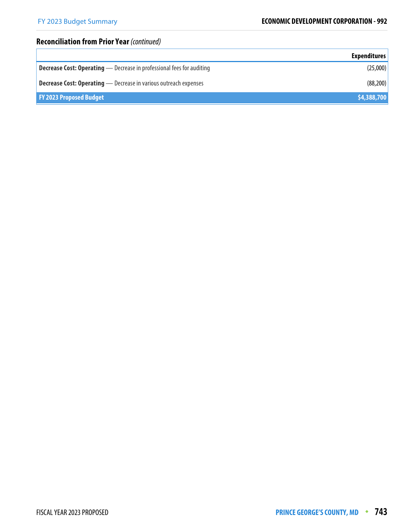# **Reconciliation from Prior Year** (continued)

|                                                                              | <b>Expenditures</b> |
|------------------------------------------------------------------------------|---------------------|
| <b>Decrease Cost: Operating</b> - Decrease in professional fees for auditing | (25,000)            |
| <b>Decrease Cost: Operating</b> — Decrease in various outreach expenses      | (88, 200)           |
| <b>FY 2023 Proposed Budget</b>                                               | \$4,388,700         |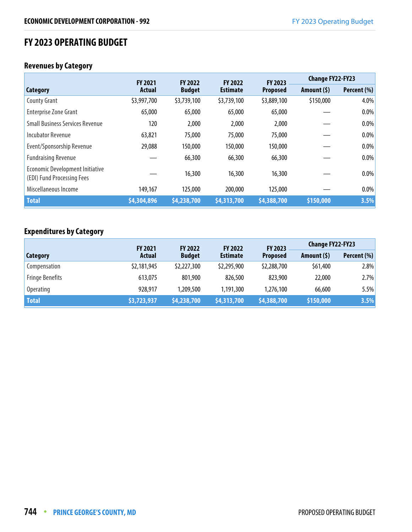## **FY 2023 OPERATING BUDGET**

#### **Revenues by Category**

|                                                                      | <b>FY 2021</b> | <b>FY 2022</b> | <b>FY 2022</b>  | <b>FY 2023</b>  | <b>Change FY22-FY23</b> |             |
|----------------------------------------------------------------------|----------------|----------------|-----------------|-----------------|-------------------------|-------------|
| Category                                                             | <b>Actual</b>  | <b>Budget</b>  | <b>Estimate</b> | <b>Proposed</b> | Amount (\$)             | Percent (%) |
| <b>County Grant</b>                                                  | \$3,997,700    | \$3,739,100    | \$3,739,100     | \$3,889,100     | \$150,000               | 4.0%        |
| <b>Enterprise Zone Grant</b>                                         | 65,000         | 65,000         | 65,000          | 65,000          |                         | $0.0\%$     |
| <b>Small Business Services Revenue</b>                               | 120            | 2,000          | 2,000           | 2,000           |                         | 0.0%        |
| <b>Incubator Revenue</b>                                             | 63,821         | 75,000         | 75,000          | 75,000          |                         | 0.0%        |
| Event/Sponsorship Revenue                                            | 29,088         | 150,000        | 150,000         | 150,000         |                         | $0.0\%$     |
| <b>Fundraising Revenue</b>                                           |                | 66,300         | 66,300          | 66,300          |                         | 0.0%        |
| <b>Economic Development Initiative</b><br>(EDI) Fund Processing Fees |                | 16,300         | 16,300          | 16,300          |                         | $0.0\%$     |
| Miscellaneous Income                                                 | 149,167        | 125,000        | 200,000         | 125,000         |                         | 0.0%        |
| <b>Total</b>                                                         | \$4,304,896    | \$4,238,700    | \$4,313,700     | \$4,388,700     | \$150,000               | 3.5%        |

### **Expenditures by Category**

|                        | <b>FY 2021</b> | <b>FY 2022</b> | <b>FY 2022</b>  | FY 2023         | <b>Change FY22-FY23</b> |             |
|------------------------|----------------|----------------|-----------------|-----------------|-------------------------|-------------|
| Category               | <b>Actual</b>  | <b>Budget</b>  | <b>Estimate</b> | <b>Proposed</b> | Amount $(5)$            | Percent (%) |
| Compensation           | \$2,181,945    | \$2,227,300    | \$2,295,900     | \$2,288,700     | \$61,400                | 2.8%        |
| <b>Fringe Benefits</b> | 613,075        | 801,900        | 826,500         | 823,900         | 22,000                  | 2.7%        |
| <b>Operating</b>       | 928,917        | 1,209,500      | 1,191,300       | 1,276,100       | 66,600                  | 5.5%        |
| <b>Total</b>           | \$3,723,937    | \$4,238,700    | \$4,313,700     | \$4,388,700     | \$150,000               | 3.5%        |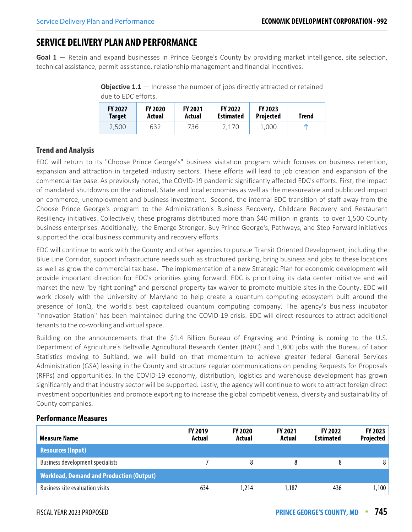# **SERVICE DELIVERY PLAN AND PERFORMANCE**

**Goal 1** — Retain and expand businesses in Prince George's County by providing market intelligence, site selection, technical assistance, permit assistance, relationship management and financial incentives.

**Objective 1.1** – Increase the number of jobs directly attracted or retained due to EDC efforts.

| <b>FY 2027</b> | <b>FY 2020</b> | <b>FY 2021</b> | <b>FY 2022</b>   | <b>FY 2023</b>   | Trend |
|----------------|----------------|----------------|------------------|------------------|-------|
| <b>Target</b>  | Actual         | Actual         | <b>Estimated</b> | <b>Projected</b> |       |
| 2.500          | 632            | 736            | 2.170            | 1.000            | m     |

#### **Trend and Analysis**

EDC will return to its "Choose Prince George's" business visitation program which focuses on business retention, expansion and attraction in targeted industry sectors. These efforts will lead to job creation and expansion of the commercial tax base. As previously noted, the COVID-19 pandemic significantly affected EDC's efforts. First, the impact of mandated shutdowns on the national, State and local economies as well as the measureable and publicized impact on commerce, unemployment and business investment. Second, the internal EDC transition of staff away from the Choose Prince George's program to the Administration's Business Recovery, Childcare Recovery and Restaurant Resiliency initiatives. Collectively, these programs distributed more than \$40 million in grants to over 1,500 County business enterprises. Additionally, the Emerge Stronger, Buy Prince George's, Pathways, and Step Forward initiatives supported the local business community and recovery efforts.

EDC will continue to work with the County and other agencies to pursue Transit Oriented Development, including the Blue Line Corridor, support infrastructure needs such as structured parking, bring business and jobs to these locations as well as grow the commercial tax base. The implementation of a new Strategic Plan for economic development will provide important direction for EDC's priorities going forward. EDC is prioritizing its data center initiative and will market the new "by right zoning" and personal property tax waiver to promote multiple sites in the County. EDC will work closely with the University of Maryland to help create a quantum computing ecosystem built around the presence of IonQ, the world's best capitalized quantum computing company. The agency's business incubator "Innovation Station" has been maintained during the COVID-19 crisis. EDC will direct resources to attract additional tenants to the co-working and virtual space.

Building on the announcements that the \$1.4 Billion Bureau of Engraving and Printing is coming to the U.S. Department of Agriculture's Beltsville Agricultural Research Center (BARC) and 1,800 jobs with the Bureau of Labor Statistics moving to Suitland, we will build on that momentum to achieve greater federal General Services Administration (GSA) leasing in the County and structure regular communications on pending Requests for Proposals (RFPs) and opportunities. In the COVID-19 economy, distribution, logistics and warehouse development has grown significantly and that industry sector will be supported. Lastly, the agency will continue to work to attract foreign direct investment opportunities and promote exporting to increase the global competitiveness, diversity and sustainability of County companies.

#### **Performance Measures**

| Measure Name                                    | <b>FY 2019</b><br>Actual | <b>FY 2020</b><br>Actual | <b>FY 2021</b><br>Actual | <b>FY 2022</b><br><b>Estimated</b> | FY 2023<br><b>Projected</b> |
|-------------------------------------------------|--------------------------|--------------------------|--------------------------|------------------------------------|-----------------------------|
| <b>Resources (Input)</b>                        |                          |                          |                          |                                    |                             |
| <b>Business development specialists</b>         |                          |                          |                          | 8                                  | 8                           |
| <b>Workload, Demand and Production (Output)</b> |                          |                          |                          |                                    |                             |
| <b>Business site evaluation visits</b>          | 634                      | 1,214                    | 1,187                    | 436                                | 1,100                       |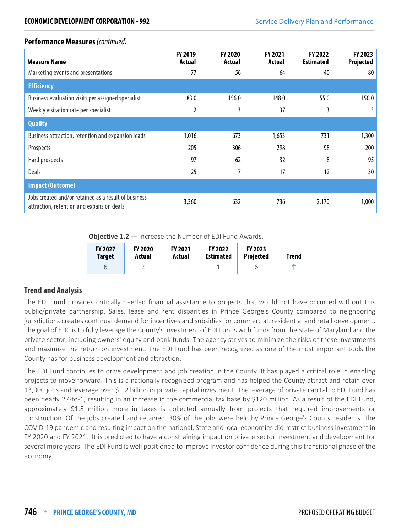#### **Performance Measures** (continued)

| <b>Measure Name</b>                                                                               | <b>FY 2019</b><br>Actual | <b>FY 2020</b><br>Actual | <b>FY 2021</b><br>Actual | <b>FY 2022</b><br><b>Estimated</b> | FY 2023<br>Projected |
|---------------------------------------------------------------------------------------------------|--------------------------|--------------------------|--------------------------|------------------------------------|----------------------|
| Marketing events and presentations                                                                | 77                       | 56                       | 64                       | 40                                 | 80                   |
| <b>Efficiency</b>                                                                                 |                          |                          |                          |                                    |                      |
| Business evaluation visits per assigned specialist                                                | 83.0                     | 156.0                    | 148.0                    | 55.0                               | 150.0                |
| Weekly visitation rate per specialist                                                             | 2                        | 3                        | 37                       | 3                                  | 3.                   |
| <b>Quality</b>                                                                                    |                          |                          |                          |                                    |                      |
| Business attraction, retention and expansion leads                                                | 1,016                    | 673                      | 1,653                    | 731                                | 1,300                |
| Prospects                                                                                         | 205                      | 306                      | 298                      | 98                                 | 200                  |
| Hard prospects                                                                                    | 97                       | 62                       | 32                       | 8                                  | 95                   |
| <b>Deals</b>                                                                                      | 25                       | 17                       | 17                       | 12                                 | 30                   |
| <b>Impact (Outcome)</b>                                                                           |                          |                          |                          |                                    |                      |
| Jobs created and/or retained as a result of business<br>attraction, retention and expansion deals | 3,360                    | 632                      | 736                      | 2,170                              | 1,000                |

**Objective 1.2** – Increase the Number of EDI Fund Awards.

| <b>FY 2027</b> | <b>FY 2020</b> | <b>FY 2021</b> | <b>FY 2022</b>   | <b>FY 2023</b>   | Trend |
|----------------|----------------|----------------|------------------|------------------|-------|
| Target         | Actual         | Actual         | <b>Estimated</b> | <b>Projected</b> |       |
| р              |                |                |                  |                  |       |

#### **Trend and Analysis**

The EDI Fund provides critically needed financial assistance to projects that would not have occurred without this public/private partnership. Sales, lease and rent disparities in Prince George's County compared to neighboring jurisdictions creates continual demand for incentives and subsidies for commercial, residential and retail development. The goal of EDC is to fully leverage the County's investment of EDI Funds with funds from the State of Maryland and the private sector, including owners' equity and bank funds. The agency strives to minimize the risks of these investments and maximize the return on investment. The EDI Fund has been recognized as one of the most important tools the County has for business development and attraction.

The EDI Fund continues to drive development and job creation in the County. It has played a critical role in enabling projects to move forward. This is a nationally recognized program and has helped the County attract and retain over 13,000 jobs and leverage over \$1.2 billion in private capital investment. The leverage of private capital to EDI Fund has been nearly 27-to-1, resulting in an increase in the commercial tax base by \$120 million. As a result of the EDI Fund, approximately \$1.8 million more in taxes is collected annually from projects that required improvements or construction. Of the jobs created and retained, 30% of the jobs were held by Prince George's County residents. The COVID-19 pandemic and resulting impact on the national, State and local economies did restrict business investment in FY 2020 and FY 2021. It is predicted to have a constraining impact on private sector investment and development for several more years. The EDI Fund is well positioned to improve investor confidence during this transitional phase of the economy.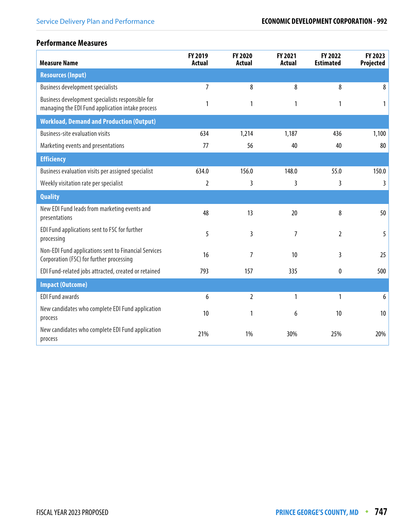### **Performance Measures**

| <b>Measure Name</b>                                                                                  | FY 2019<br><b>Actual</b> | FY 2020<br><b>Actual</b> | FY 2021<br><b>Actual</b> | FY 2022<br><b>Estimated</b> | FY 2023<br>Projected |
|------------------------------------------------------------------------------------------------------|--------------------------|--------------------------|--------------------------|-----------------------------|----------------------|
| <b>Resources (Input)</b>                                                                             |                          |                          |                          |                             |                      |
| <b>Business development specialists</b>                                                              | $\overline{7}$           | 8                        | 8                        | 8                           | 8                    |
| Business development specialists responsible for<br>managing the EDI Fund application intake process | 1                        | 1                        | 1                        | 1                           |                      |
| <b>Workload, Demand and Production (Output)</b>                                                      |                          |                          |                          |                             |                      |
| <b>Business-site evaluation visits</b>                                                               | 634                      | 1,214                    | 1,187                    | 436                         | 1,100                |
| Marketing events and presentations                                                                   | 77                       | 56                       | 40                       | 40                          | 80                   |
| <b>Efficiency</b>                                                                                    |                          |                          |                          |                             |                      |
| Business evaluation visits per assigned specialist                                                   | 634.0                    | 156.0                    | 148.0                    | 55.0                        | 150.0                |
| Weekly visitation rate per specialist                                                                | $\overline{2}$           | 3                        | 3                        | 3                           | 3                    |
| <b>Quality</b>                                                                                       |                          |                          |                          |                             |                      |
| New EDI Fund leads from marketing events and<br>presentations                                        | 48                       | 13                       | 20                       | 8                           | 50                   |
| EDI Fund applications sent to FSC for further<br>processing                                          | 5                        | 3                        | $\overline{7}$           | $\overline{2}$              | 5                    |
| Non-EDI Fund applications sent to Financial Services<br>Corporation (FSC) for further processing     | 16                       | 7                        | 10                       | 3                           | 25                   |
| EDI Fund-related jobs attracted, created or retained                                                 | 793                      | 157                      | 335                      | 0                           | 500                  |
| <b>Impact (Outcome)</b>                                                                              |                          |                          |                          |                             |                      |
| <b>EDI Fund awards</b>                                                                               | 6                        | $\overline{2}$           | 1                        | 1                           | 6                    |
| New candidates who complete EDI Fund application<br>process                                          | 10                       | 1                        | 6                        | 10                          | 10                   |
| New candidates who complete EDI Fund application<br>process                                          | 21%                      | 1%                       | 30%                      | 25%                         | 20%                  |